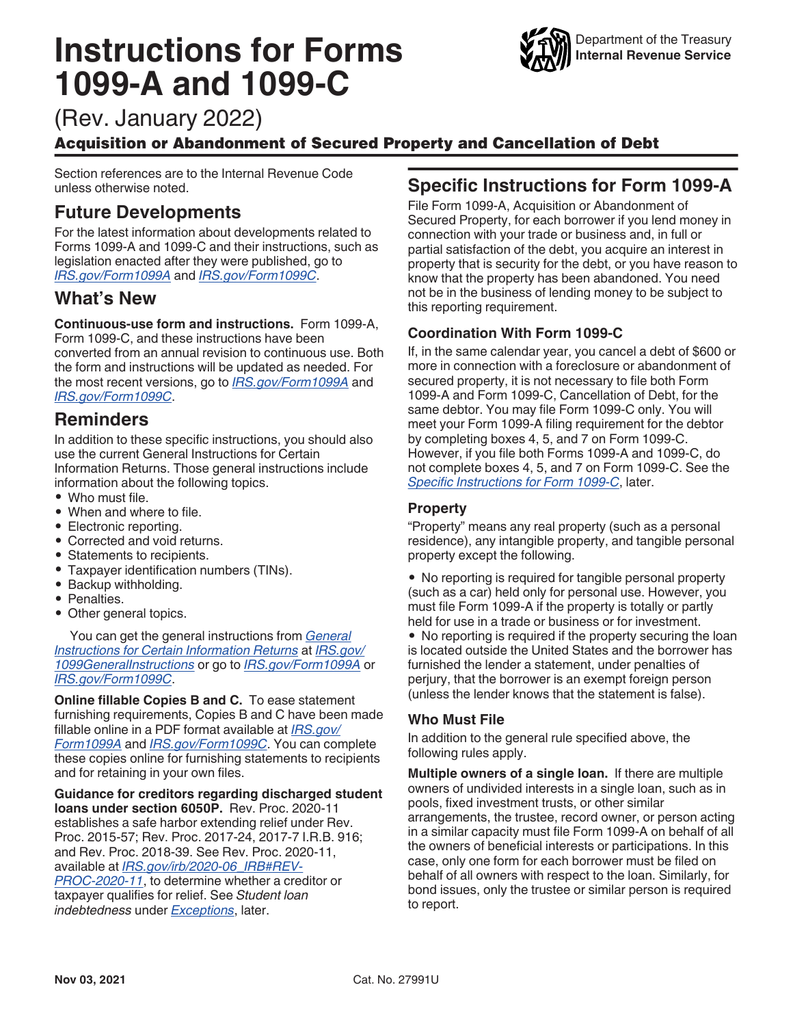# <span id="page-0-0"></span>**Instructions for Forms 1099-A and 1099-C**



(Rev. January 2022)

# Acquisition or Abandonment of Secured Property and Cancellation of Debt

Section references are to the Internal Revenue Code unless otherwise noted.

# **Future Developments**

For the latest information about developments related to Forms 1099-A and 1099-C and their instructions, such as legislation enacted after they were published, go to *[IRS.gov/Form1099A](https://www.irs.gov/form1099a)* and *[IRS.gov/Form1099C](https://www.irs.gov/form1099c)*.

# **What's New**

**Continuous-use form and instructions.** Form 1099-A,

Form 1099-C, and these instructions have been converted from an annual revision to continuous use. Both the form and instructions will be updated as needed. For the most recent versions, go to *[IRS.gov/Form1099A](https://www.irs.gov/form1099a)* and *[IRS.gov/Form1099C](https://www.irs.gov/form1099c)*.

# **Reminders**

In addition to these specific instructions, you should also use the current General Instructions for Certain Information Returns. Those general instructions include information about the following topics.

- Who must file.
- When and where to file.
- Electronic reporting.
- Corrected and void returns.
- Statements to recipients.
- Taxpayer identification numbers (TINs).
- Backup withholding.
- Penalties.
- Other general topics.

You can get the general instructions from *[General](https://www.irs.gov/uac/about-form-1099) [Instructions for Certain Information Returns](https://www.irs.gov/uac/about-form-1099)* at *[IRS.gov/](https://www.irs.gov/form1099) [1099GeneralInstructions](https://www.irs.gov/form1099)* or go to *[IRS.gov/Form1099A](https://www.irs.gov/form1099a)* or *[IRS.gov/Form1099C](https://www.irs.gov/form1099c)*.

**Online fillable Copies B and C.** To ease statement furnishing requirements, Copies B and C have been made fillable online in a PDF format available at *[IRS.gov/](https://www.irs.gov/form1099a) [Form1099A](https://www.irs.gov/form1099a)* and *[IRS.gov/Form1099C](https://www.irs.gov/form1099c)*. You can complete these copies online for furnishing statements to recipients and for retaining in your own files.

**Guidance for creditors regarding discharged student loans under section 6050P.** Rev. Proc. 2020-11 establishes a safe harbor extending relief under Rev. Proc. 2015-57; Rev. Proc. 2017-24, 2017-7 I.R.B. 916; and Rev. Proc. 2018-39. See Rev. Proc. 2020-11, available at *[IRS.gov/irb/2020-06\\_IRB#REV-](https://www.irs.gov/irb/2020-06_IRB#REV-PROC-2020-11 )[PROC-2020-11](https://www.irs.gov/irb/2020-06_IRB#REV-PROC-2020-11 )*, to determine whether a creditor or taxpayer qualifies for relief. See *Student loan indebtedness* under *[Exceptions](#page-3-0)*, later.

# **Specific Instructions for Form 1099-A**

File Form 1099-A, Acquisition or Abandonment of Secured Property, for each borrower if you lend money in connection with your trade or business and, in full or partial satisfaction of the debt, you acquire an interest in property that is security for the debt, or you have reason to know that the property has been abandoned. You need not be in the business of lending money to be subject to this reporting requirement.

# **Coordination With Form 1099-C**

If, in the same calendar year, you cancel a debt of \$600 or more in connection with a foreclosure or abandonment of secured property, it is not necessary to file both Form 1099-A and Form 1099-C, Cancellation of Debt, for the same debtor. You may file Form 1099-C only. You will meet your Form 1099-A filing requirement for the debtor by completing boxes 4, 5, and 7 on Form 1099-C. However, if you file both Forms 1099-A and 1099-C, do not complete boxes 4, 5, and 7 on Form 1099-C. See the *[Specific Instructions for Form 1099-C](#page-2-0)*, later.

# **Property**

"Property" means any real property (such as a personal residence), any intangible property, and tangible personal property except the following.

• No reporting is required for tangible personal property (such as a car) held only for personal use. However, you must file Form 1099-A if the property is totally or partly held for use in a trade or business or for investment.

• No reporting is required if the property securing the loan is located outside the United States and the borrower has furnished the lender a statement, under penalties of perjury, that the borrower is an exempt foreign person (unless the lender knows that the statement is false).

# **Who Must File**

In addition to the general rule specified above, the following rules apply.

**Multiple owners of a single loan.** If there are multiple owners of undivided interests in a single loan, such as in pools, fixed investment trusts, or other similar arrangements, the trustee, record owner, or person acting in a similar capacity must file Form 1099-A on behalf of all the owners of beneficial interests or participations. In this case, only one form for each borrower must be filed on behalf of all owners with respect to the loan. Similarly, for bond issues, only the trustee or similar person is required to report.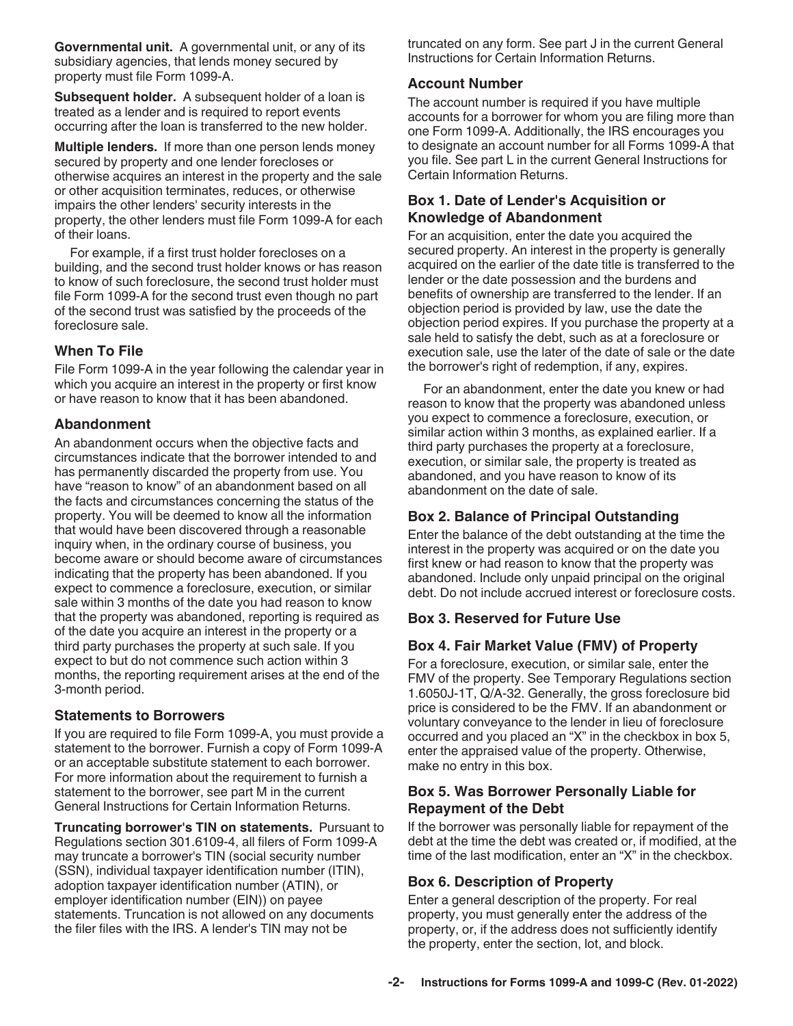**Governmental unit.** A governmental unit, or any of its subsidiary agencies, that lends money secured by property must file Form 1099-A.

**Subsequent holder.** A subsequent holder of a loan is treated as a lender and is required to report events occurring after the loan is transferred to the new holder.

**Multiple lenders.** If more than one person lends money secured by property and one lender forecloses or otherwise acquires an interest in the property and the sale or other acquisition terminates, reduces, or otherwise impairs the other lenders' security interests in the property, the other lenders must file Form 1099-A for each of their loans.

For example, if a first trust holder forecloses on a building, and the second trust holder knows or has reason to know of such foreclosure, the second trust holder must file Form 1099-A for the second trust even though no part of the second trust was satisfied by the proceeds of the foreclosure sale.

## **When To File**

File Form 1099-A in the year following the calendar year in which you acquire an interest in the property or first know or have reason to know that it has been abandoned.

## **Abandonment**

An abandonment occurs when the objective facts and circumstances indicate that the borrower intended to and has permanently discarded the property from use. You have "reason to know" of an abandonment based on all the facts and circumstances concerning the status of the property. You will be deemed to know all the information that would have been discovered through a reasonable inquiry when, in the ordinary course of business, you become aware or should become aware of circumstances indicating that the property has been abandoned. If you expect to commence a foreclosure, execution, or similar sale within 3 months of the date you had reason to know that the property was abandoned, reporting is required as of the date you acquire an interest in the property or a third party purchases the property at such sale. If you expect to but do not commence such action within 3 months, the reporting requirement arises at the end of the 3-month period.

#### **Statements to Borrowers**

If you are required to file Form 1099-A, you must provide a statement to the borrower. Furnish a copy of Form 1099-A or an acceptable substitute statement to each borrower. For more information about the requirement to furnish a statement to the borrower, see part M in the current General Instructions for Certain Information Returns.

**Truncating borrower's TIN on statements.** Pursuant to Regulations section 301.6109-4, all filers of Form 1099-A may truncate a borrower's TIN (social security number (SSN), individual taxpayer identification number (ITIN), adoption taxpayer identification number (ATIN), or employer identification number (EIN)) on payee statements. Truncation is not allowed on any documents the filer files with the IRS. A lender's TIN may not be

truncated on any form. See part J in the current General Instructions for Certain Information Returns.

#### **Account Number**

The account number is required if you have multiple accounts for a borrower for whom you are filing more than one Form 1099-A. Additionally, the IRS encourages you to designate an account number for all Forms 1099-A that you file. See part L in the current General Instructions for Certain Information Returns.

#### **Box 1. Date of Lender's Acquisition or Knowledge of Abandonment**

For an acquisition, enter the date you acquired the secured property. An interest in the property is generally acquired on the earlier of the date title is transferred to the lender or the date possession and the burdens and benefits of ownership are transferred to the lender. If an objection period is provided by law, use the date the objection period expires. If you purchase the property at a sale held to satisfy the debt, such as at a foreclosure or execution sale, use the later of the date of sale or the date the borrower's right of redemption, if any, expires.

For an abandonment, enter the date you knew or had reason to know that the property was abandoned unless you expect to commence a foreclosure, execution, or similar action within 3 months, as explained earlier. If a third party purchases the property at a foreclosure, execution, or similar sale, the property is treated as abandoned, and you have reason to know of its abandonment on the date of sale.

## **Box 2. Balance of Principal Outstanding**

Enter the balance of the debt outstanding at the time the interest in the property was acquired or on the date you first knew or had reason to know that the property was abandoned. Include only unpaid principal on the original debt. Do not include accrued interest or foreclosure costs.

## **Box 3. Reserved for Future Use**

## **Box 4. Fair Market Value (FMV) of Property**

For a foreclosure, execution, or similar sale, enter the FMV of the property. See Temporary Regulations section 1.6050J-1T, Q/A-32. Generally, the gross foreclosure bid price is considered to be the FMV. If an abandonment or voluntary conveyance to the lender in lieu of foreclosure occurred and you placed an "X" in the checkbox in box 5, enter the appraised value of the property. Otherwise, make no entry in this box.

#### **Box 5. Was Borrower Personally Liable for Repayment of the Debt**

If the borrower was personally liable for repayment of the debt at the time the debt was created or, if modified, at the time of the last modification, enter an "X" in the checkbox.

#### **Box 6. Description of Property**

Enter a general description of the property. For real property, you must generally enter the address of the property, or, if the address does not sufficiently identify the property, enter the section, lot, and block.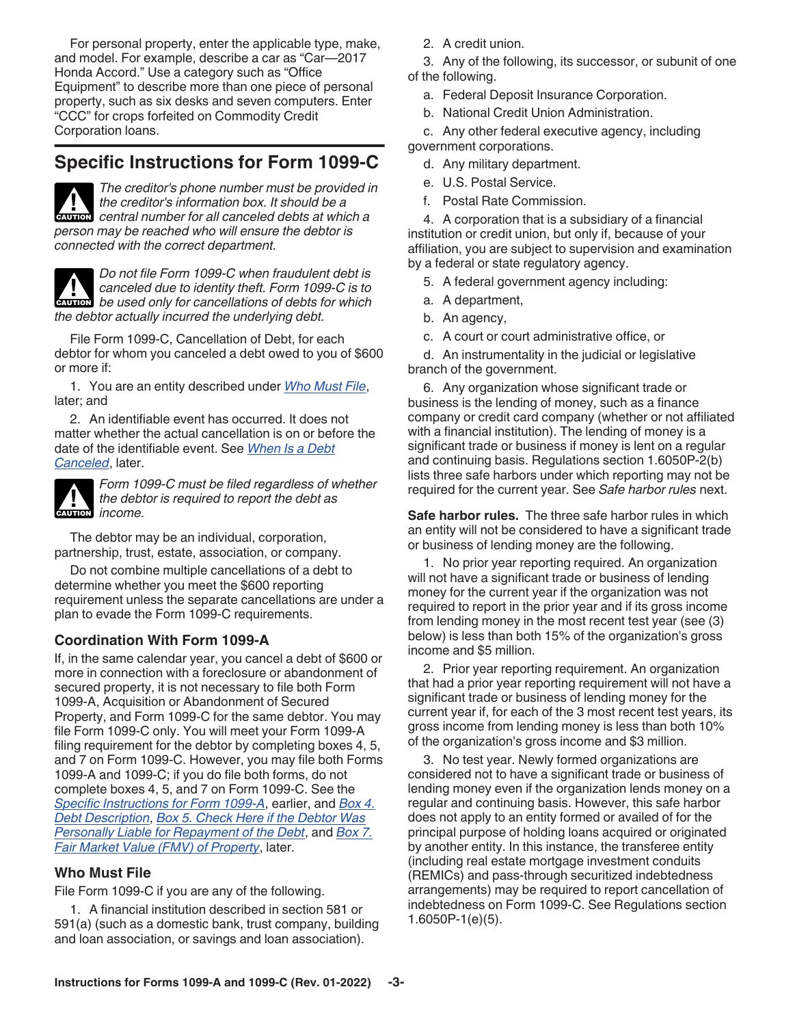<span id="page-2-0"></span>For personal property, enter the applicable type, make, and model. For example, describe a car as "Car—2017 Honda Accord." Use a category such as "Office Equipment" to describe more than one piece of personal property, such as six desks and seven computers. Enter "CCC" for crops forfeited on Commodity Credit Corporation loans.

# **Specific Instructions for Form 1099-C**



*The creditor's phone number must be provided in the creditor's information box. It should be a*  **h** the creditor's information box. It should be a caution central number for all canceled debts at which a *person may be reached who will ensure the debtor is connected with the correct department.*



*Do not file Form 1099-C when fraudulent debt is canceled due to identity theft. Form 1099-C is to*  **decombine 1999-C** is to identity the *be used only for cancellations of debts for which*  $\frac{1}{2}$ *the debtor actually incurred the underlying debt.*

File Form 1099-C, Cancellation of Debt, for each debtor for whom you canceled a debt owed to you of \$600 or more if:

1. You are an entity described under *Who Must File*, later; and

2. An identifiable event has occurred. It does not matter whether the actual cancellation is on or before the date of the identifiable event. See *[When Is a Debt](#page-3-0)  [Canceled](#page-3-0)*, later.



*Form 1099-C must be filed regardless of whether the debtor is required to report the debt as c***<sub>AUTION</sub>** *income.* 

The debtor may be an individual, corporation, partnership, trust, estate, association, or company.

Do not combine multiple cancellations of a debt to determine whether you meet the \$600 reporting requirement unless the separate cancellations are under a plan to evade the Form 1099-C requirements.

# **Coordination With Form 1099-A**

If, in the same calendar year, you cancel a debt of \$600 or more in connection with a foreclosure or abandonment of secured property, it is not necessary to file both Form 1099-A, Acquisition or Abandonment of Secured Property, and Form 1099-C for the same debtor. You may file Form 1099-C only. You will meet your Form 1099-A filing requirement for the debtor by completing boxes 4, 5, and 7 on Form 1099-C. However, you may file both Forms 1099-A and 1099-C; if you do file both forms, do not complete boxes 4, 5, and 7 on Form 1099-C. See the *[Specific Instructions for Form 1099-A](#page-0-0)*, earlier, and *[Box 4.](#page-5-0)  [Debt Description](#page-5-0)*, *[Box 5. Check Here if the Debtor Was](#page-5-0) [Personally Liable for Repayment of the Debt](#page-5-0)*, and *[Box 7.](#page-5-0)  [Fair Market Value \(FMV\) of Property](#page-5-0)*, later.

## **Who Must File**

File Form 1099-C if you are any of the following.

1. A financial institution described in section 581 or 591(a) (such as a domestic bank, trust company, building and loan association, or savings and loan association).

2. A credit union.

3. Any of the following, its successor, or subunit of one of the following.

- a. Federal Deposit Insurance Corporation.
- b. National Credit Union Administration.

c. Any other federal executive agency, including government corporations.

- d. Any military department.
- e. U.S. Postal Service.
- f. Postal Rate Commission.

4. A corporation that is a subsidiary of a financial institution or credit union, but only if, because of your affiliation, you are subject to supervision and examination by a federal or state regulatory agency.

5. A federal government agency including:

- a. A department,
- b. An agency,
- c. A court or court administrative office, or

d. An instrumentality in the judicial or legislative branch of the government.

6. Any organization whose significant trade or business is the lending of money, such as a finance company or credit card company (whether or not affiliated with a financial institution). The lending of money is a significant trade or business if money is lent on a regular and continuing basis. Regulations section 1.6050P-2(b) lists three safe harbors under which reporting may not be required for the current year. See *Safe harbor rules* next.

**Safe harbor rules.** The three safe harbor rules in which an entity will not be considered to have a significant trade or business of lending money are the following.

1. No prior year reporting required. An organization will not have a significant trade or business of lending money for the current year if the organization was not required to report in the prior year and if its gross income from lending money in the most recent test year (see (3) below) is less than both 15% of the organization's gross income and \$5 million.

2. Prior year reporting requirement. An organization that had a prior year reporting requirement will not have a significant trade or business of lending money for the current year if, for each of the 3 most recent test years, its gross income from lending money is less than both 10% of the organization's gross income and \$3 million.

3. No test year. Newly formed organizations are considered not to have a significant trade or business of lending money even if the organization lends money on a regular and continuing basis. However, this safe harbor does not apply to an entity formed or availed of for the principal purpose of holding loans acquired or originated by another entity. In this instance, the transferee entity (including real estate mortgage investment conduits (REMICs) and pass-through securitized indebtedness arrangements) may be required to report cancellation of indebtedness on Form 1099-C. See Regulations section 1.6050P-1(e)(5).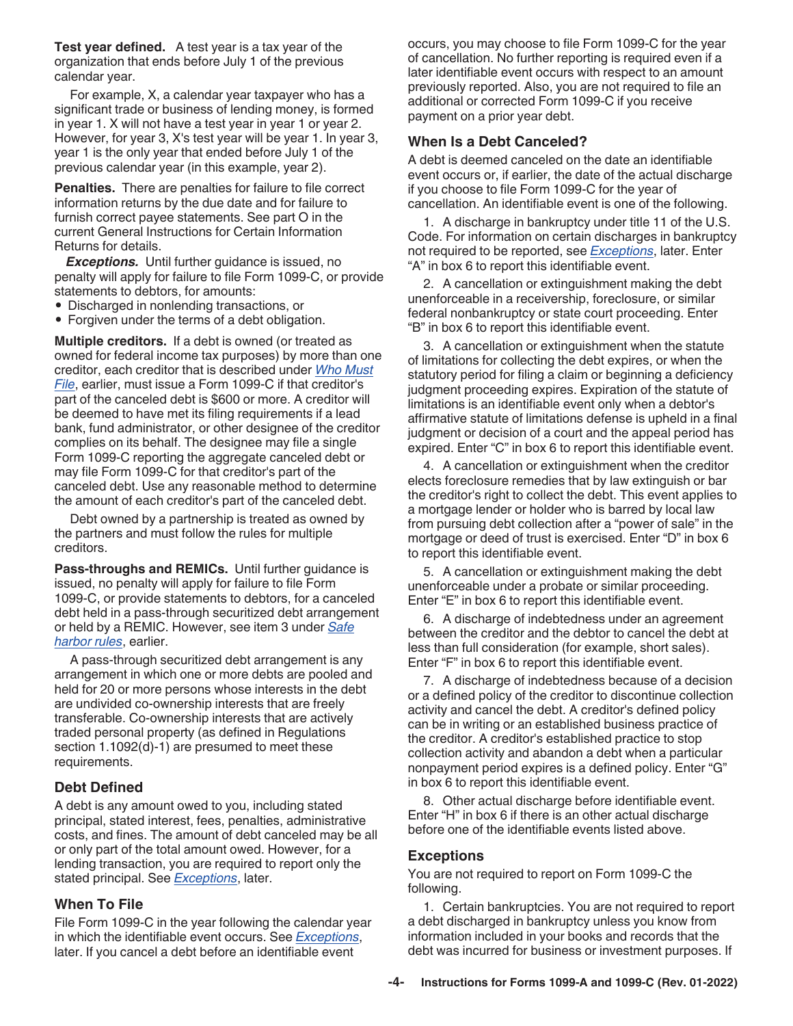<span id="page-3-0"></span>**Test year defined.** A test year is a tax year of the organization that ends before July 1 of the previous calendar year.

For example, X, a calendar year taxpayer who has a significant trade or business of lending money, is formed in year 1. X will not have a test year in year 1 or year 2. However, for year 3, X's test year will be year 1. In year 3, year 1 is the only year that ended before July 1 of the previous calendar year (in this example, year 2).

**Penalties.** There are penalties for failure to file correct information returns by the due date and for failure to furnish correct payee statements. See part O in the current General Instructions for Certain Information Returns for details.

*Exceptions.* Until further guidance is issued, no penalty will apply for failure to file Form 1099-C, or provide statements to debtors, for amounts:

- Discharged in nonlending transactions, or
- Forgiven under the terms of a debt obligation.

**Multiple creditors.** If a debt is owned (or treated as owned for federal income tax purposes) by more than one creditor, each creditor that is described under *[Who Must](#page-2-0) [File](#page-2-0)*, earlier, must issue a Form 1099-C if that creditor's part of the canceled debt is \$600 or more. A creditor will be deemed to have met its filing requirements if a lead bank, fund administrator, or other designee of the creditor complies on its behalf. The designee may file a single Form 1099-C reporting the aggregate canceled debt or may file Form 1099-C for that creditor's part of the canceled debt. Use any reasonable method to determine the amount of each creditor's part of the canceled debt.

Debt owned by a partnership is treated as owned by the partners and must follow the rules for multiple creditors.

**Pass-throughs and REMICs.** Until further guidance is issued, no penalty will apply for failure to file Form 1099-C, or provide statements to debtors, for a canceled debt held in a pass-through securitized debt arrangement or held by a REMIC. However, see item 3 under *[Safe](#page-2-0)  [harbor rules](#page-2-0)*, earlier.

A pass-through securitized debt arrangement is any arrangement in which one or more debts are pooled and held for 20 or more persons whose interests in the debt are undivided co-ownership interests that are freely transferable. Co-ownership interests that are actively traded personal property (as defined in Regulations section 1.1092(d)-1) are presumed to meet these requirements.

## **Debt Defined**

A debt is any amount owed to you, including stated principal, stated interest, fees, penalties, administrative costs, and fines. The amount of debt canceled may be all or only part of the total amount owed. However, for a lending transaction, you are required to report only the stated principal. See *Exceptions*, later.

#### **When To File**

File Form 1099-C in the year following the calendar year in which the identifiable event occurs. See *Exceptions*, later. If you cancel a debt before an identifiable event

occurs, you may choose to file Form 1099-C for the year of cancellation. No further reporting is required even if a later identifiable event occurs with respect to an amount previously reported. Also, you are not required to file an additional or corrected Form 1099-C if you receive payment on a prior year debt.

#### **When Is a Debt Canceled?**

A debt is deemed canceled on the date an identifiable event occurs or, if earlier, the date of the actual discharge if you choose to file Form 1099-C for the year of cancellation. An identifiable event is one of the following.

1. A discharge in bankruptcy under title 11 of the U.S. Code. For information on certain discharges in bankruptcy not required to be reported, see *Exceptions*, later. Enter "A" in box 6 to report this identifiable event.

2. A cancellation or extinguishment making the debt unenforceable in a receivership, foreclosure, or similar federal nonbankruptcy or state court proceeding. Enter "B" in box 6 to report this identifiable event.

3. A cancellation or extinguishment when the statute of limitations for collecting the debt expires, or when the statutory period for filing a claim or beginning a deficiency judgment proceeding expires. Expiration of the statute of limitations is an identifiable event only when a debtor's affirmative statute of limitations defense is upheld in a final judgment or decision of a court and the appeal period has expired. Enter "C" in box 6 to report this identifiable event.

4. A cancellation or extinguishment when the creditor elects foreclosure remedies that by law extinguish or bar the creditor's right to collect the debt. This event applies to a mortgage lender or holder who is barred by local law from pursuing debt collection after a "power of sale" in the mortgage or deed of trust is exercised. Enter "D" in box 6 to report this identifiable event.

5. A cancellation or extinguishment making the debt unenforceable under a probate or similar proceeding. Enter "E" in box 6 to report this identifiable event.

6. A discharge of indebtedness under an agreement between the creditor and the debtor to cancel the debt at less than full consideration (for example, short sales). Enter "F" in box 6 to report this identifiable event.

7. A discharge of indebtedness because of a decision or a defined policy of the creditor to discontinue collection activity and cancel the debt. A creditor's defined policy can be in writing or an established business practice of the creditor. A creditor's established practice to stop collection activity and abandon a debt when a particular nonpayment period expires is a defined policy. Enter "G" in box 6 to report this identifiable event.

8. Other actual discharge before identifiable event. Enter "H" in box 6 if there is an other actual discharge before one of the identifiable events listed above.

#### **Exceptions**

You are not required to report on Form 1099-C the following.

1. Certain bankruptcies. You are not required to report a debt discharged in bankruptcy unless you know from information included in your books and records that the debt was incurred for business or investment purposes. If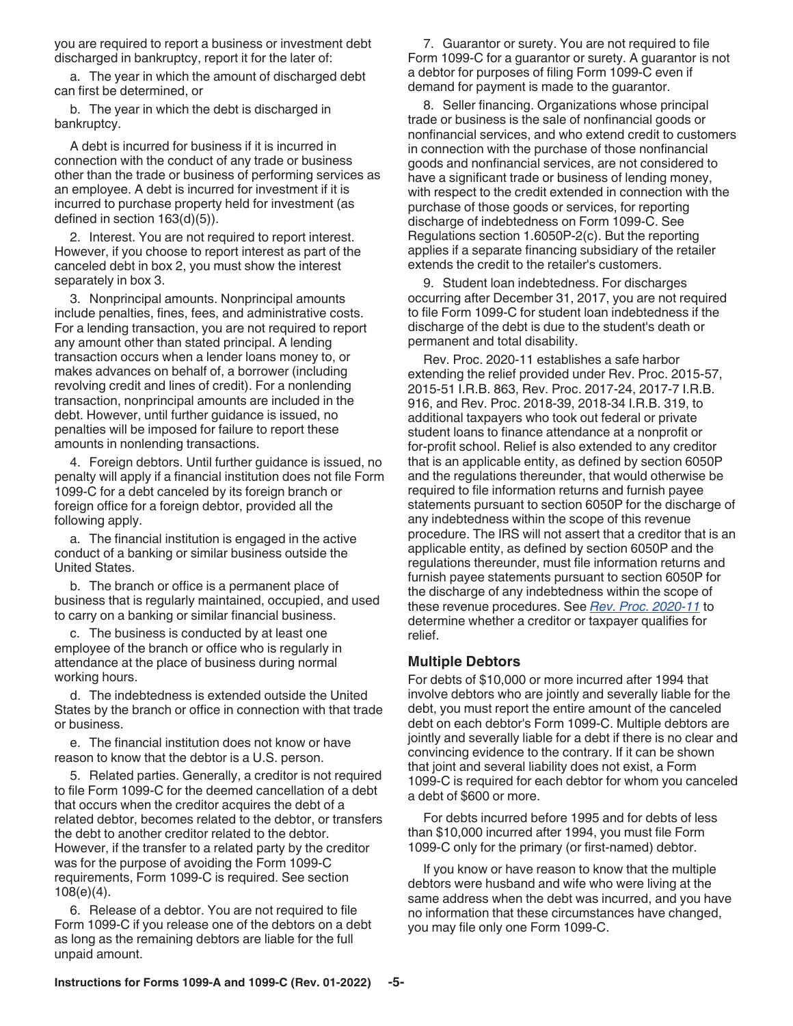you are required to report a business or investment debt discharged in bankruptcy, report it for the later of:

a. The year in which the amount of discharged debt can first be determined, or

b. The year in which the debt is discharged in bankruptcy.

A debt is incurred for business if it is incurred in connection with the conduct of any trade or business other than the trade or business of performing services as an employee. A debt is incurred for investment if it is incurred to purchase property held for investment (as defined in section 163(d)(5)).

2. Interest. You are not required to report interest. However, if you choose to report interest as part of the canceled debt in box 2, you must show the interest separately in box 3.

3. Nonprincipal amounts. Nonprincipal amounts include penalties, fines, fees, and administrative costs. For a lending transaction, you are not required to report any amount other than stated principal. A lending transaction occurs when a lender loans money to, or makes advances on behalf of, a borrower (including revolving credit and lines of credit). For a nonlending transaction, nonprincipal amounts are included in the debt. However, until further guidance is issued, no penalties will be imposed for failure to report these amounts in nonlending transactions.

4. Foreign debtors. Until further guidance is issued, no penalty will apply if a financial institution does not file Form 1099-C for a debt canceled by its foreign branch or foreign office for a foreign debtor, provided all the following apply.

a. The financial institution is engaged in the active conduct of a banking or similar business outside the United States.

b. The branch or office is a permanent place of business that is regularly maintained, occupied, and used to carry on a banking or similar financial business.

c. The business is conducted by at least one employee of the branch or office who is regularly in attendance at the place of business during normal working hours.

d. The indebtedness is extended outside the United States by the branch or office in connection with that trade or business.

e. The financial institution does not know or have reason to know that the debtor is a U.S. person.

5. Related parties. Generally, a creditor is not required to file Form 1099-C for the deemed cancellation of a debt that occurs when the creditor acquires the debt of a related debtor, becomes related to the debtor, or transfers the debt to another creditor related to the debtor. However, if the transfer to a related party by the creditor was for the purpose of avoiding the Form 1099-C requirements, Form 1099-C is required. See section 108(e)(4).

6. Release of a debtor. You are not required to file Form 1099-C if you release one of the debtors on a debt as long as the remaining debtors are liable for the full unpaid amount.

7. Guarantor or surety. You are not required to file Form 1099-C for a guarantor or surety. A guarantor is not a debtor for purposes of filing Form 1099-C even if demand for payment is made to the guarantor.

8. Seller financing. Organizations whose principal trade or business is the sale of nonfinancial goods or nonfinancial services, and who extend credit to customers in connection with the purchase of those nonfinancial goods and nonfinancial services, are not considered to have a significant trade or business of lending money, with respect to the credit extended in connection with the purchase of those goods or services, for reporting discharge of indebtedness on Form 1099-C. See Regulations section 1.6050P-2(c). But the reporting applies if a separate financing subsidiary of the retailer extends the credit to the retailer's customers.

9. Student loan indebtedness. For discharges occurring after December 31, 2017, you are not required to file Form 1099-C for student loan indebtedness if the discharge of the debt is due to the student's death or permanent and total disability.

Rev. Proc. 2020-11 establishes a safe harbor extending the relief provided under Rev. Proc. 2015-57, 2015-51 I.R.B. 863, Rev. Proc. 2017-24, 2017-7 I.R.B. 916, and Rev. Proc. 2018-39, 2018-34 I.R.B. 319, to additional taxpayers who took out federal or private student loans to finance attendance at a nonprofit or for-profit school. Relief is also extended to any creditor that is an applicable entity, as defined by section 6050P and the regulations thereunder, that would otherwise be required to file information returns and furnish payee statements pursuant to section 6050P for the discharge of any indebtedness within the scope of this revenue procedure. The IRS will not assert that a creditor that is an applicable entity, as defined by section 6050P and the regulations thereunder, must file information returns and furnish payee statements pursuant to section 6050P for the discharge of any indebtedness within the scope of these revenue procedures. See *[Rev. Proc. 2020-11](https://www.irs.gov/irb/2020-06_IRB#REV-PROC-2020-11 )* to determine whether a creditor or taxpayer qualifies for relief.

#### **Multiple Debtors**

For debts of \$10,000 or more incurred after 1994 that involve debtors who are jointly and severally liable for the debt, you must report the entire amount of the canceled debt on each debtor's Form 1099-C. Multiple debtors are jointly and severally liable for a debt if there is no clear and convincing evidence to the contrary. If it can be shown that joint and several liability does not exist, a Form 1099-C is required for each debtor for whom you canceled a debt of \$600 or more.

For debts incurred before 1995 and for debts of less than \$10,000 incurred after 1994, you must file Form 1099-C only for the primary (or first-named) debtor.

If you know or have reason to know that the multiple debtors were husband and wife who were living at the same address when the debt was incurred, and you have no information that these circumstances have changed, you may file only one Form 1099-C.